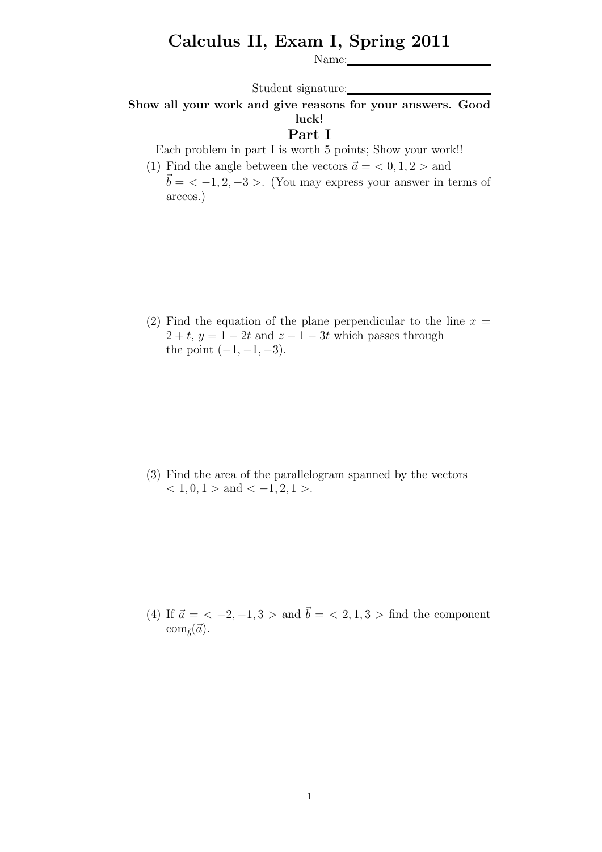## Calculus II, Exam I, Spring 2011

Name:

Student signature:

## Show all your work and give reasons for your answers. Good luck!

## Part I

Each problem in part I is worth 5 points; Show your work!!

(1) Find the angle between the vectors  $\vec{a} = \langle 0, 1, 2 \rangle$  and  $\vec{b} = \langle -1, 2, -3 \rangle$ . (You may express your answer in terms of arccos.)

(2) Find the equation of the plane perpendicular to the line  $x =$  $2 + t$ ,  $y = 1 - 2t$  and  $z - 1 - 3t$  which passes through the point  $(-1, -1, -3)$ .

(3) Find the area of the parallelogram spanned by the vectors  $< 1, 0, 1 >$  and  $< -1, 2, 1 >$ .

(4) If  $\vec{a} = \langle -2, -1, 3 \rangle$  and  $\vec{b} = \langle 2, 1, 3 \rangle$  find the component  $\text{com}_{\vec{b}}(\vec{a})$ .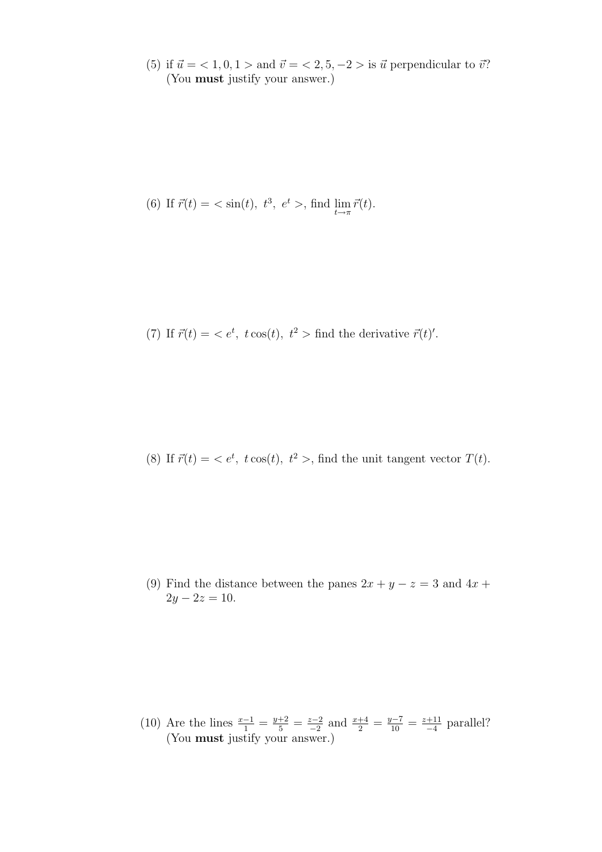(5) if  $\vec{u} = \langle 1, 0, 1 \rangle$  and  $\vec{v} = \langle 2, 5, -2 \rangle$  is  $\vec{u}$  perpendicular to  $\vec{v}$ ? (You must justify your answer.)

(6) If 
$$
\vec{r}(t) = \langle \sin(t), t^3, e^t \rangle
$$
, find  $\lim_{t \to \pi} \vec{r}(t)$ .

(7) If  $\vec{r}(t) = \langle e^t, t \cos(t), t^2 \rangle$  find the derivative  $\vec{r}(t)'$ .

(8) If  $\vec{r}(t) = \langle e^t, t \cos(t), t^2 \rangle$ , find the unit tangent vector  $T(t)$ .

(9) Find the distance between the panes  $2x + y - z = 3$  and  $4x +$  $2y - 2z = 10$ .

(10) Are the lines  $\frac{x-1}{1} = \frac{y+2}{5} = \frac{z-2}{-2}$  $\frac{z-2}{-2}$  and  $\frac{x+4}{2} = \frac{y-7}{10} = \frac{z+11}{-4}$  $\frac{+11}{-4}$  parallel? (You must justify your answer.)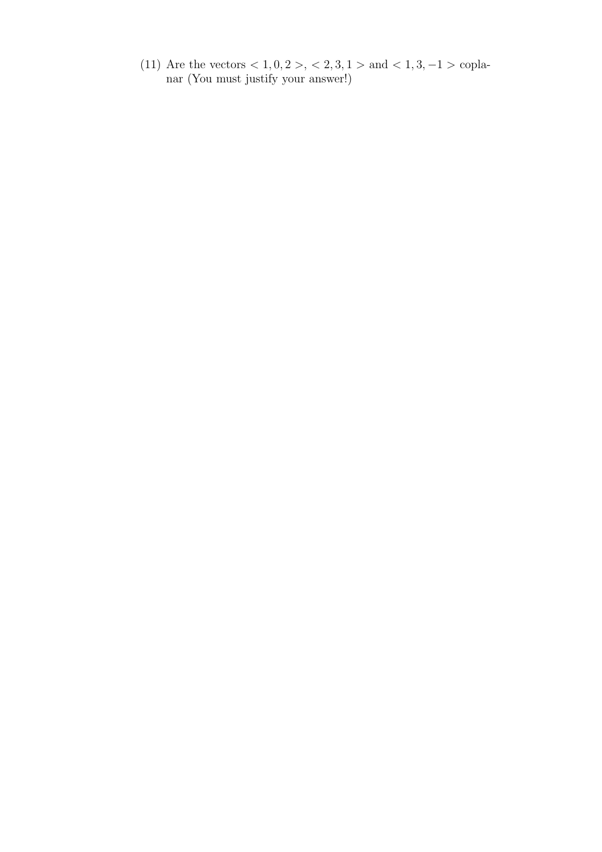(11) Are the vectors  $< 1, 0, 2 > 1, 2, 3, 1 > 1$  and  $< 1, 3, -1 > 1$ nar (You must justify your answer!)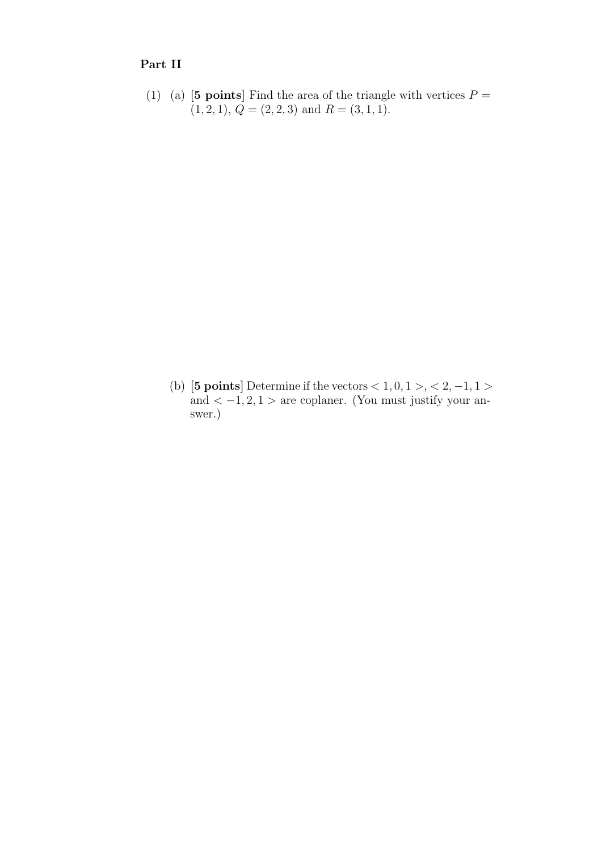## Part II

(1) (a) [5 points] Find the area of the triangle with vertices  $P =$  $(1, 2, 1), Q = (2, 2, 3)$  and  $R = (3, 1, 1).$ 

(b) [5 points] Determine if the vectors  $< 1, 0, 1 >, < 2, -1, 1 >$ and  $<-1, 2, 1>$  are coplaner. (You must justify your answer.)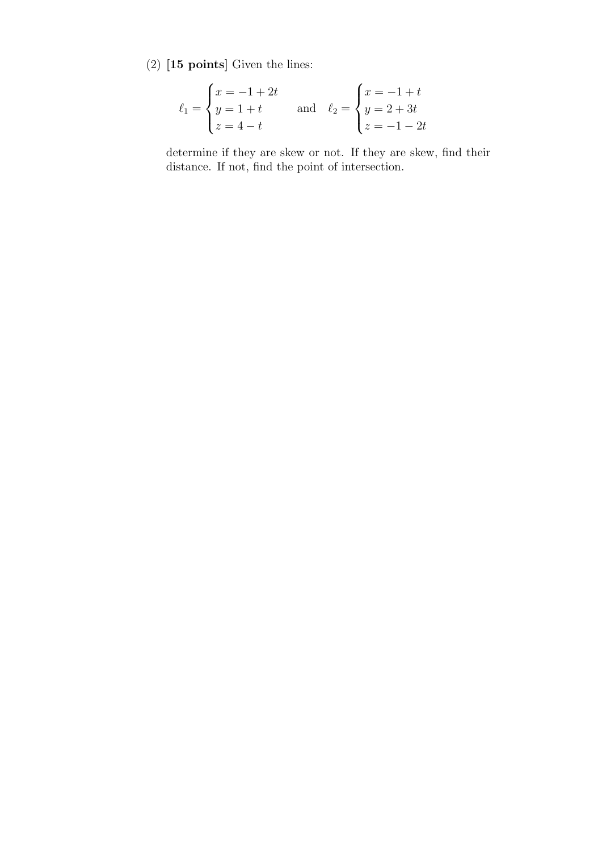(2) [15 points] Given the lines:

$$
\ell_1 = \begin{cases} x = -1 + 2t \\ y = 1 + t \\ z = 4 - t \end{cases} \text{ and } \ell_2 = \begin{cases} x = -1 + t \\ y = 2 + 3t \\ z = -1 - 2t \end{cases}
$$

determine if they are skew or not. If they are skew, find their distance. If not, find the point of intersection.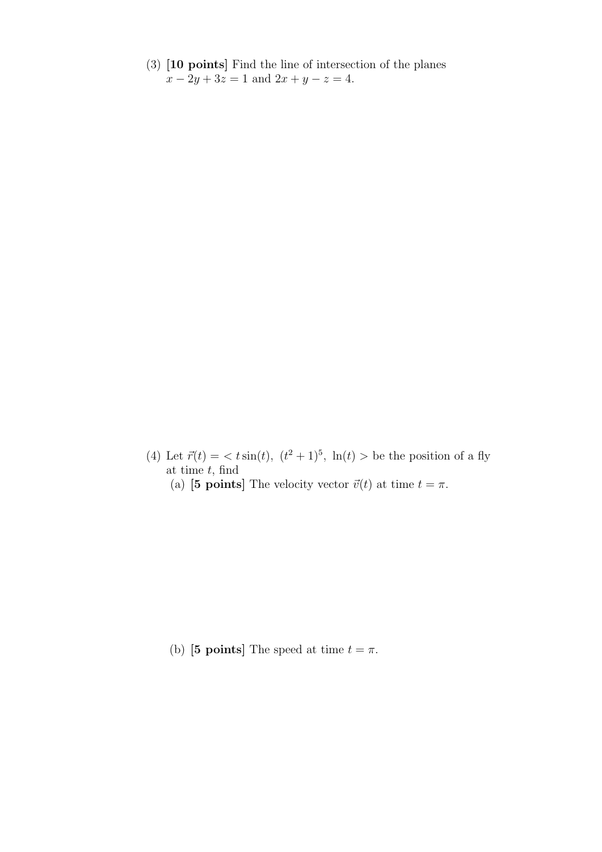(3) [10 points] Find the line of intersection of the planes  $x - 2y + 3z = 1$  and  $2x + y - z = 4$ .

(4) Let  $\vec{r}(t) = \langle t \sin(t), (t^2 + 1)^5, \ln(t) \rangle$  be the position of a fly at time  $t$ , find

(a) [5 points] The velocity vector  $\vec{v}(t)$  at time  $t = \pi$ .

(b) [5 points] The speed at time  $t = \pi$ .